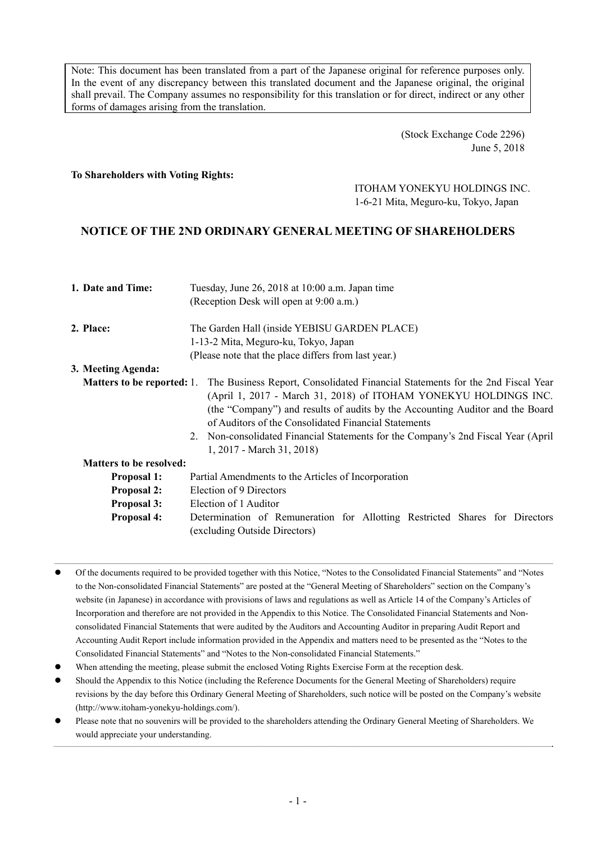Note: This document has been translated from a part of the Japanese original for reference purposes only. In the event of any discrepancy between this translated document and the Japanese original, the original shall prevail. The Company assumes no responsibility for this translation or for direct, indirect or any other forms of damages arising from the translation.

> (Stock Exchange Code 2296) June 5, 2018

### **To Shareholders with Voting Rights:**

# ITOHAM YONEKYU HOLDINGS INC. 1-6-21 Mita, Meguro-ku, Tokyo, Japan

# **NOTICE OF THE 2ND ORDINARY GENERAL MEETING OF SHAREHOLDERS**

| 1. Date and Time:                 | Tuesday, June 26, 2018 at 10:00 a.m. Japan time<br>(Reception Desk will open at 9:00 a.m.)                                                                                                                                                                                                                                                                                                                     |  |  |  |
|-----------------------------------|----------------------------------------------------------------------------------------------------------------------------------------------------------------------------------------------------------------------------------------------------------------------------------------------------------------------------------------------------------------------------------------------------------------|--|--|--|
| 2. Place:                         | The Garden Hall (inside YEBISU GARDEN PLACE)<br>1-13-2 Mita, Meguro-ku, Tokyo, Japan<br>(Please note that the place differs from last year.)                                                                                                                                                                                                                                                                   |  |  |  |
| 3. Meeting Agenda:                |                                                                                                                                                                                                                                                                                                                                                                                                                |  |  |  |
| <b>Matters to be reported:</b> 1. | The Business Report, Consolidated Financial Statements for the 2nd Fiscal Year<br>(April 1, 2017 - March 31, 2018) of ITOHAM YONEKYU HOLDINGS INC.<br>(the "Company") and results of audits by the Accounting Auditor and the Board<br>of Auditors of the Consolidated Financial Statements<br>2. Non-consolidated Financial Statements for the Company's 2nd Fiscal Year (April)<br>1, 2017 - March 31, 2018) |  |  |  |
| <b>Matters to be resolved:</b>    |                                                                                                                                                                                                                                                                                                                                                                                                                |  |  |  |
| <b>Proposal 1:</b>                | Partial Amendments to the Articles of Incorporation                                                                                                                                                                                                                                                                                                                                                            |  |  |  |
| <b>Proposal 2:</b>                | Election of 9 Directors                                                                                                                                                                                                                                                                                                                                                                                        |  |  |  |
| <b>Proposal 3:</b>                | Election of 1 Auditor                                                                                                                                                                                                                                                                                                                                                                                          |  |  |  |
| <b>Proposal 4:</b>                | Determination of Remuneration for Allotting Restricted Shares for Directors<br>(excluding Outside Directors)                                                                                                                                                                                                                                                                                                   |  |  |  |

 Of the documents required to be provided together with this Notice, "Notes to the Consolidated Financial Statements" and "Notes to the Non-consolidated Financial Statements" are posted at the "General Meeting of Shareholders" section on the Company's website (in Japanese) in accordance with provisions of laws and regulations as well as Article 14 of the Company's Articles of Incorporation and therefore are not provided in the Appendix to this Notice. The Consolidated Financial Statements and Nonconsolidated Financial Statements that were audited by the Auditors and Accounting Auditor in preparing Audit Report and Accounting Audit Report include information provided in the Appendix and matters need to be presented as the "Notes to the Consolidated Financial Statements" and "Notes to the Non-consolidated Financial Statements."

- When attending the meeting, please submit the enclosed Voting Rights Exercise Form at the reception desk.
- Should the Appendix to this Notice (including the Reference Documents for the General Meeting of Shareholders) require revisions by the day before this Ordinary General Meeting of Shareholders, such notice will be posted on the Company's website (http://www.itoham-yonekyu-holdings.com/).
- Please note that no souvenirs will be provided to the shareholders attending the Ordinary General Meeting of Shareholders. We would appreciate your understanding.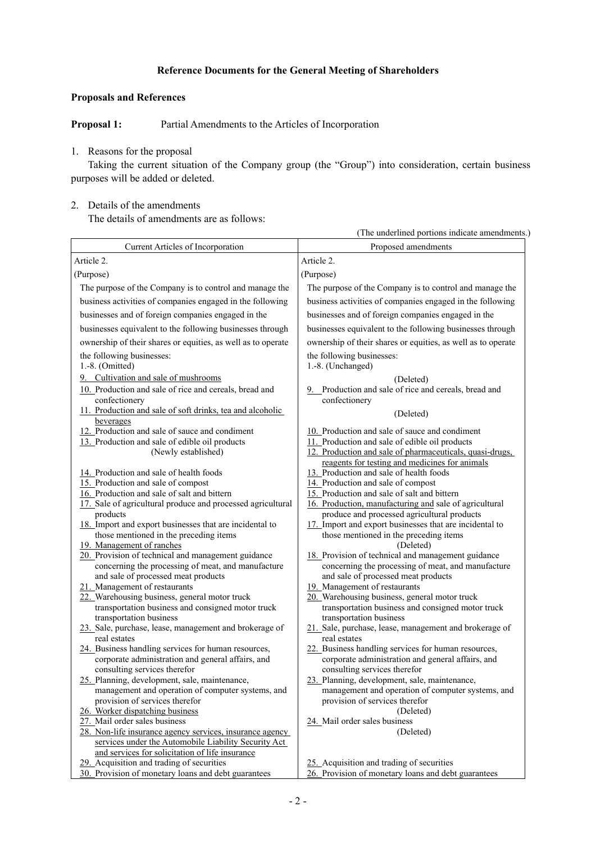## **Reference Documents for the General Meeting of Shareholders**

## **Proposals and References**

**Proposal 1:** Partial Amendments to the Articles of Incorporation

## 1. Reasons for the proposal

Taking the current situation of the Company group (the "Group") into consideration, certain business purposes will be added or deleted.

## 2. Details of the amendments

The details of amendments are as follows:

|                                                                                                          | (The underlined portions indicate amendments.)                                                           |
|----------------------------------------------------------------------------------------------------------|----------------------------------------------------------------------------------------------------------|
| Current Articles of Incorporation                                                                        | Proposed amendments                                                                                      |
| Article 2.                                                                                               | Article 2.                                                                                               |
| (Purpose)                                                                                                | (Purpose)                                                                                                |
| The purpose of the Company is to control and manage the                                                  | The purpose of the Company is to control and manage the                                                  |
| business activities of companies engaged in the following                                                | business activities of companies engaged in the following                                                |
| businesses and of foreign companies engaged in the                                                       | businesses and of foreign companies engaged in the                                                       |
|                                                                                                          |                                                                                                          |
| businesses equivalent to the following businesses through                                                | businesses equivalent to the following businesses through                                                |
| ownership of their shares or equities, as well as to operate                                             | ownership of their shares or equities, as well as to operate                                             |
| the following businesses:                                                                                | the following businesses:                                                                                |
| 1.-8. (Omitted)                                                                                          | 1.-8. (Unchanged)                                                                                        |
| 9. Cultivation and sale of mushrooms                                                                     | (Deleted)                                                                                                |
| 10. Production and sale of rice and cereals, bread and                                                   | 9. Production and sale of rice and cereals, bread and                                                    |
| confectionery<br>11. Production and sale of soft drinks, tea and alcoholic                               | confectionery                                                                                            |
| beverages                                                                                                | (Deleted)                                                                                                |
| 12. Production and sale of sauce and condiment                                                           | 10. Production and sale of sauce and condiment                                                           |
| 13. Production and sale of edible oil products                                                           | 11. Production and sale of edible oil products                                                           |
| (Newly established)                                                                                      | 12. Production and sale of pharmaceuticals, quasi-drugs,                                                 |
|                                                                                                          | reagents for testing and medicines for animals                                                           |
| 14. Production and sale of health foods<br>15. Production and sale of compost                            | 13. Production and sale of health foods                                                                  |
| 16. Production and sale of salt and bittern                                                              | 14. Production and sale of compost<br>15. Production and sale of salt and bittern                        |
| 17. Sale of agricultural produce and processed agricultural                                              | 16. Production, manufacturing and sale of agricultural                                                   |
| products                                                                                                 | produce and processed agricultural products                                                              |
| 18. Import and export businesses that are incidental to                                                  | 17. Import and export businesses that are incidental to                                                  |
| those mentioned in the preceding items                                                                   | those mentioned in the preceding items                                                                   |
| 19. Management of ranches                                                                                | (Deleted)                                                                                                |
| 20. Provision of technical and management guidance<br>concerning the processing of meat, and manufacture | 18. Provision of technical and management guidance<br>concerning the processing of meat, and manufacture |
| and sale of processed meat products                                                                      | and sale of processed meat products                                                                      |
| 21. Management of restaurants                                                                            | 19. Management of restaurants                                                                            |
| 22. Warehousing business, general motor truck                                                            | 20. Warehousing business, general motor truck                                                            |
| transportation business and consigned motor truck                                                        | transportation business and consigned motor truck                                                        |
| transportation business                                                                                  | transportation business                                                                                  |
| 23. Sale, purchase, lease, management and brokerage of<br>real estates                                   | 21. Sale, purchase, lease, management and brokerage of<br>real estates                                   |
| 24. Business handling services for human resources,                                                      | 22. Business handling services for human resources,                                                      |
| corporate administration and general affairs, and                                                        | corporate administration and general affairs, and                                                        |
| consulting services therefor                                                                             | consulting services therefor                                                                             |
| 25. Planning, development, sale, maintenance,                                                            | 23. Planning, development, sale, maintenance,                                                            |
| management and operation of computer systems, and                                                        | management and operation of computer systems, and                                                        |
| provision of services therefor                                                                           | provision of services therefor                                                                           |
| 26. Worker dispatching business<br>27. Mail order sales business                                         | (Deleted)<br>24. Mail order sales business                                                               |
| 28. Non-life insurance agency services, insurance agency                                                 | (Deleted)                                                                                                |
| services under the Automobile Liability Security Act                                                     |                                                                                                          |
| and services for solicitation of life insurance                                                          |                                                                                                          |
| 29. Acquisition and trading of securities                                                                | 25. Acquisition and trading of securities                                                                |
| 30. Provision of monetary loans and debt guarantees                                                      | 26. Provision of monetary loans and debt guarantees                                                      |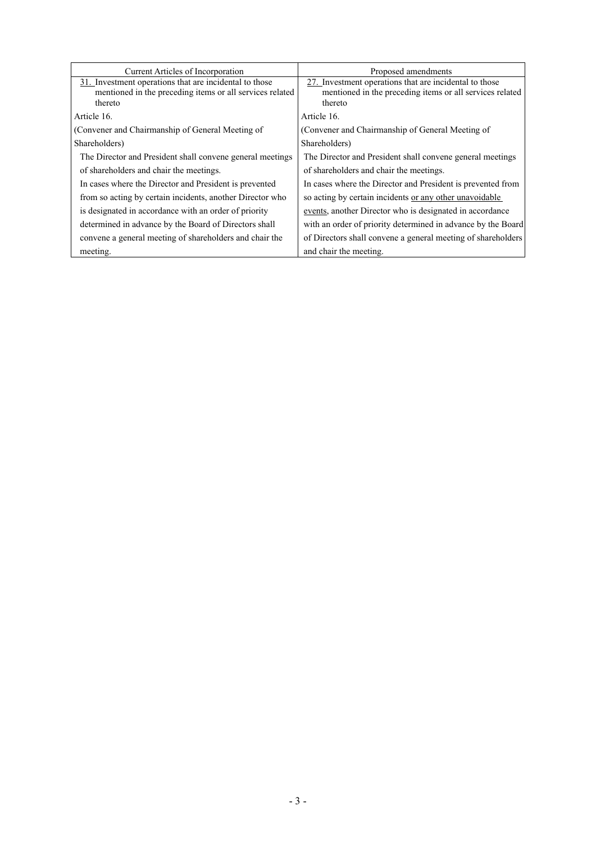| <b>Current Articles of Incorporation</b>                                                                                      | Proposed amendments                                                                                                           |
|-------------------------------------------------------------------------------------------------------------------------------|-------------------------------------------------------------------------------------------------------------------------------|
| 31. Investment operations that are incidental to those<br>mentioned in the preceding items or all services related<br>thereto | 27. Investment operations that are incidental to those<br>mentioned in the preceding items or all services related<br>thereto |
| Article 16.                                                                                                                   | Article 16.                                                                                                                   |
| (Convener and Chairmanship of General Meeting of                                                                              | (Convener and Chairmanship of General Meeting of                                                                              |
| Shareholders)                                                                                                                 | Shareholders)                                                                                                                 |
| The Director and President shall convene general meetings                                                                     | The Director and President shall convene general meetings                                                                     |
| of shareholders and chair the meetings.                                                                                       | of shareholders and chair the meetings.                                                                                       |
| In cases where the Director and President is prevented                                                                        | In cases where the Director and President is prevented from                                                                   |
| from so acting by certain incidents, another Director who                                                                     | so acting by certain incidents or any other unavoidable                                                                       |
| is designated in accordance with an order of priority                                                                         | events, another Director who is designated in accordance                                                                      |
| determined in advance by the Board of Directors shall                                                                         | with an order of priority determined in advance by the Board                                                                  |
| convene a general meeting of shareholders and chair the                                                                       | of Directors shall convene a general meeting of shareholders                                                                  |
| meeting.                                                                                                                      | and chair the meeting.                                                                                                        |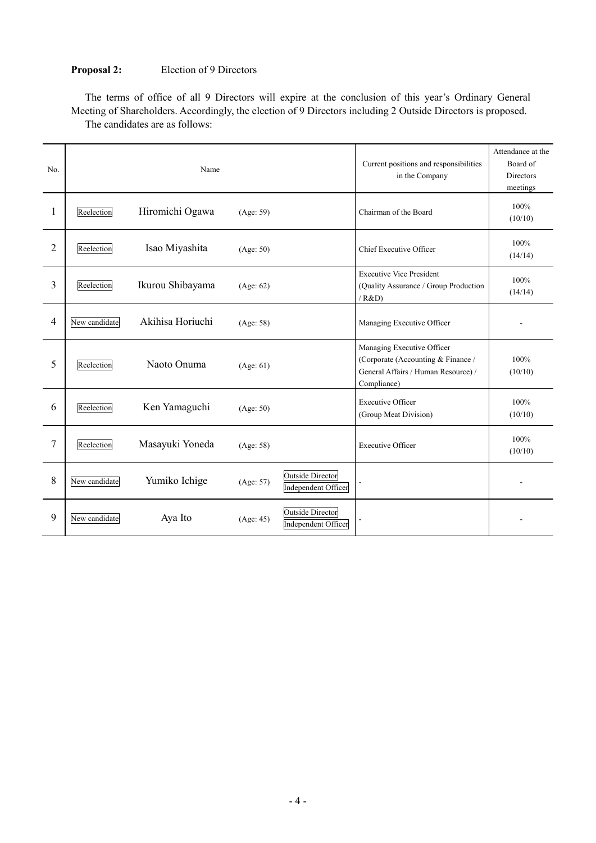# **Proposal 2:** Election of 9 Directors

The terms of office of all 9 Directors will expire at the conclusion of this year's Ordinary General Meeting of Shareholders. Accordingly, the election of 9 Directors including 2 Outside Directors is proposed. The candidates are as follows:

| No.            |               | Name             |           |                                                       | Current positions and responsibilities<br>in the Company                                                               | Attendance at the<br>Board of<br><b>Directors</b><br>meetings |
|----------------|---------------|------------------|-----------|-------------------------------------------------------|------------------------------------------------------------------------------------------------------------------------|---------------------------------------------------------------|
| 1              | Reelection    | Hiromichi Ogawa  | (Age: 59) |                                                       | Chairman of the Board                                                                                                  | 100%<br>(10/10)                                               |
| $\overline{2}$ | Reelection    | Isao Miyashita   | (Age: 50) |                                                       | Chief Executive Officer                                                                                                | 100%<br>(14/14)                                               |
| $\overline{3}$ | Reelection    | Ikurou Shibayama | (Age: 62) |                                                       | <b>Executive Vice President</b><br>(Quality Assurance / Group Production<br>/ R&D)                                     | 100%<br>(14/14)                                               |
| $\overline{4}$ | New candidate | Akihisa Horiuchi | (Age: 58) |                                                       | Managing Executive Officer                                                                                             |                                                               |
| 5              | Reelection    | Naoto Onuma      | (Age: 61) |                                                       | Managing Executive Officer<br>(Corporate (Accounting & Finance /<br>General Affairs / Human Resource) /<br>Compliance) | 100%<br>(10/10)                                               |
| 6              | Reelection    | Ken Yamaguchi    | (Age: 50) |                                                       | <b>Executive Officer</b><br>(Group Meat Division)                                                                      | 100%<br>(10/10)                                               |
| 7              | Reelection    | Masayuki Yoneda  | (Age: 58) |                                                       | <b>Executive Officer</b>                                                                                               | 100%<br>(10/10)                                               |
| 8              | New candidate | Yumiko Ichige    | (Age: 57) | <b>Outside Director</b><br><b>Independent Officer</b> |                                                                                                                        |                                                               |
| 9              | New candidate | Aya Ito          | (Age: 45) | <b>Outside Director</b><br>Independent Officer        |                                                                                                                        |                                                               |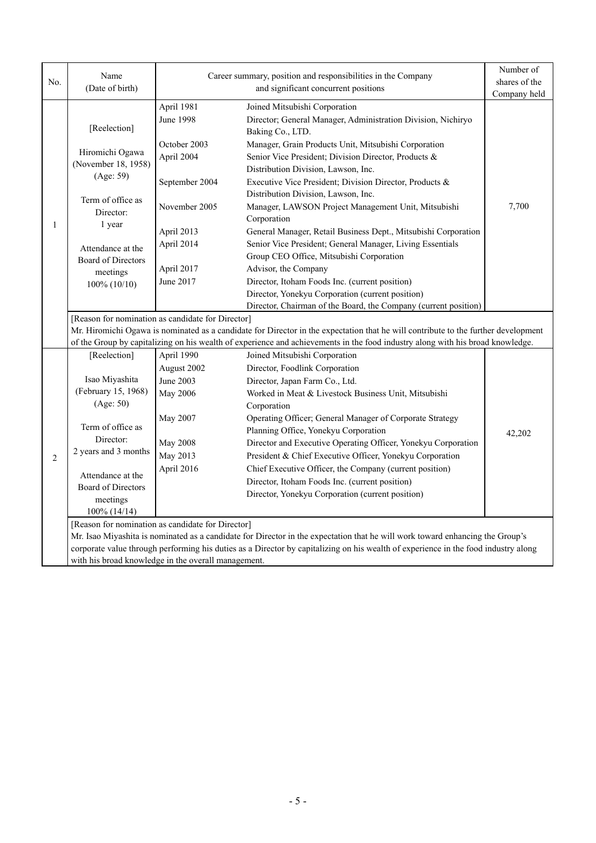|                | Name                                                                                                                          |                                      | Career summary, position and responsibilities in the Company                                                                       | Number of     |  |
|----------------|-------------------------------------------------------------------------------------------------------------------------------|--------------------------------------|------------------------------------------------------------------------------------------------------------------------------------|---------------|--|
| No.            | (Date of birth)                                                                                                               | and significant concurrent positions |                                                                                                                                    | shares of the |  |
|                |                                                                                                                               |                                      |                                                                                                                                    | Company held  |  |
|                |                                                                                                                               | April 1981<br><b>June 1998</b>       | Joined Mitsubishi Corporation                                                                                                      |               |  |
|                | [Reelection]                                                                                                                  |                                      | Director; General Manager, Administration Division, Nichiryo<br>Baking Co., LTD.                                                   |               |  |
|                |                                                                                                                               | October 2003                         | Manager, Grain Products Unit, Mitsubishi Corporation                                                                               |               |  |
|                | Hiromichi Ogawa                                                                                                               | April 2004                           | Senior Vice President; Division Director, Products &                                                                               |               |  |
|                | (November 18, 1958)                                                                                                           |                                      | Distribution Division, Lawson, Inc.                                                                                                |               |  |
|                | (Age: 59)                                                                                                                     | September 2004                       | Executive Vice President; Division Director, Products &                                                                            |               |  |
|                |                                                                                                                               |                                      | Distribution Division, Lawson, Inc.                                                                                                |               |  |
|                | Term of office as                                                                                                             | November 2005                        | Manager, LAWSON Project Management Unit, Mitsubishi                                                                                | 7,700         |  |
|                | Director:                                                                                                                     |                                      | Corporation                                                                                                                        |               |  |
| 1              | 1 year                                                                                                                        | April 2013                           | General Manager, Retail Business Dept., Mitsubishi Corporation                                                                     |               |  |
|                | Attendance at the                                                                                                             | April 2014                           | Senior Vice President; General Manager, Living Essentials                                                                          |               |  |
|                | <b>Board of Directors</b>                                                                                                     |                                      | Group CEO Office, Mitsubishi Corporation                                                                                           |               |  |
|                | meetings                                                                                                                      | April 2017                           | Advisor, the Company                                                                                                               |               |  |
|                | 100% (10/10)                                                                                                                  | June 2017                            | Director, Itoham Foods Inc. (current position)                                                                                     |               |  |
|                |                                                                                                                               |                                      | Director, Yonekyu Corporation (current position)                                                                                   |               |  |
|                |                                                                                                                               |                                      | Director, Chairman of the Board, the Company (current position)                                                                    |               |  |
|                | [Reason for nomination as candidate for Director]                                                                             |                                      |                                                                                                                                    |               |  |
|                |                                                                                                                               |                                      | Mr. Hiromichi Ogawa is nominated as a candidate for Director in the expectation that he will contribute to the further development |               |  |
|                |                                                                                                                               |                                      | of the Group by capitalizing on his wealth of experience and achievements in the food industry along with his broad knowledge.     |               |  |
|                | [Reelection]                                                                                                                  | April 1990                           | Joined Mitsubishi Corporation                                                                                                      |               |  |
|                | Isao Miyashita                                                                                                                | August 2002<br>June 2003             | Director, Foodlink Corporation<br>Director, Japan Farm Co., Ltd.                                                                   |               |  |
|                | (February 15, 1968)                                                                                                           | May 2006                             | Worked in Meat & Livestock Business Unit, Mitsubishi                                                                               |               |  |
|                | (Age: 50)                                                                                                                     |                                      | Corporation                                                                                                                        |               |  |
|                |                                                                                                                               | May 2007                             | Operating Officer; General Manager of Corporate Strategy                                                                           |               |  |
|                | Term of office as                                                                                                             |                                      | Planning Office, Yonekyu Corporation                                                                                               | 42,202        |  |
|                | Director:                                                                                                                     | <b>May 2008</b>                      | Director and Executive Operating Officer, Yonekyu Corporation                                                                      |               |  |
| $\overline{2}$ | 2 years and 3 months                                                                                                          | May 2013                             | President & Chief Executive Officer, Yonekyu Corporation                                                                           |               |  |
|                |                                                                                                                               | April 2016                           | Chief Executive Officer, the Company (current position)                                                                            |               |  |
|                | Attendance at the                                                                                                             |                                      | Director, Itoham Foods Inc. (current position)                                                                                     |               |  |
|                | <b>Board of Directors</b>                                                                                                     |                                      | Director, Yonekyu Corporation (current position)                                                                                   |               |  |
|                | meetings<br>$100\%$ (14/14)                                                                                                   |                                      |                                                                                                                                    |               |  |
|                | [Reason for nomination as candidate for Director]                                                                             |                                      |                                                                                                                                    |               |  |
|                | Mr. Isao Miyashita is nominated as a candidate for Director in the expectation that he will work toward enhancing the Group's |                                      |                                                                                                                                    |               |  |
|                |                                                                                                                               |                                      | corporate value through performing his duties as a Director by capitalizing on his wealth of experience in the food industry along |               |  |
|                | with his broad knowledge in the overall management.                                                                           |                                      |                                                                                                                                    |               |  |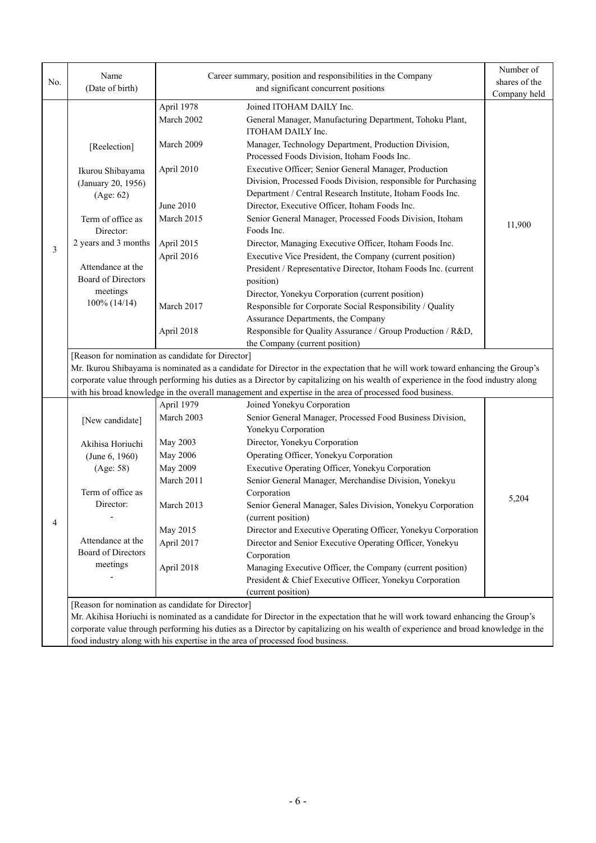| No. | Name                                                                                                                                                                                                                 |                          | Career summary, position and responsibilities in the Company                                                                                                                                                                                                                                                                                                                      | Number of<br>shares of the |
|-----|----------------------------------------------------------------------------------------------------------------------------------------------------------------------------------------------------------------------|--------------------------|-----------------------------------------------------------------------------------------------------------------------------------------------------------------------------------------------------------------------------------------------------------------------------------------------------------------------------------------------------------------------------------|----------------------------|
|     | (Date of birth)                                                                                                                                                                                                      |                          | and significant concurrent positions                                                                                                                                                                                                                                                                                                                                              | Company held               |
|     |                                                                                                                                                                                                                      | April 1978<br>March 2002 | Joined ITOHAM DAILY Inc.<br>General Manager, Manufacturing Department, Tohoku Plant,<br>ITOHAM DAILY Inc.                                                                                                                                                                                                                                                                         |                            |
|     | [Reelection]                                                                                                                                                                                                         | March 2009               | Manager, Technology Department, Production Division,<br>Processed Foods Division, Itoham Foods Inc.                                                                                                                                                                                                                                                                               |                            |
|     | Ikurou Shibayama<br>(January 20, 1956)<br>(Age: 62)                                                                                                                                                                  | April 2010<br>June 2010  | Executive Officer; Senior General Manager, Production<br>Division, Processed Foods Division, responsible for Purchasing<br>Department / Central Research Institute, Itoham Foods Inc.<br>Director, Executive Officer, Itoham Foods Inc.                                                                                                                                           |                            |
|     | Term of office as<br>Director:                                                                                                                                                                                       | March 2015               | Senior General Manager, Processed Foods Division, Itoham<br>Foods Inc.                                                                                                                                                                                                                                                                                                            | 11,900                     |
| 3   | 2 years and 3 months<br>Attendance at the                                                                                                                                                                            | April 2015<br>April 2016 | Director, Managing Executive Officer, Itoham Foods Inc.<br>Executive Vice President, the Company (current position)<br>President / Representative Director, Itoham Foods Inc. (current                                                                                                                                                                                            |                            |
|     | Board of Directors<br>meetings<br>100% (14/14)                                                                                                                                                                       | March 2017               | position)<br>Director, Yonekyu Corporation (current position)<br>Responsible for Corporate Social Responsibility / Quality                                                                                                                                                                                                                                                        |                            |
|     |                                                                                                                                                                                                                      | April 2018               | Assurance Departments, the Company<br>Responsible for Quality Assurance / Group Production / R&D,<br>the Company (current position)                                                                                                                                                                                                                                               |                            |
|     | [Reason for nomination as candidate for Director]                                                                                                                                                                    |                          | Mr. Ikurou Shibayama is nominated as a candidate for Director in the expectation that he will work toward enhancing the Group's<br>corporate value through performing his duties as a Director by capitalizing on his wealth of experience in the food industry along<br>with his broad knowledge in the overall management and expertise in the area of processed food business. |                            |
|     | [New candidate]                                                                                                                                                                                                      | April 1979<br>March 2003 | Joined Yonekyu Corporation<br>Senior General Manager, Processed Food Business Division,                                                                                                                                                                                                                                                                                           |                            |
|     | Akihisa Horiuchi                                                                                                                                                                                                     | May 2003                 | Yonekyu Corporation<br>Director, Yonekyu Corporation                                                                                                                                                                                                                                                                                                                              |                            |
|     | (June 6, 1960)                                                                                                                                                                                                       | May 2006                 | Operating Officer, Yonekyu Corporation                                                                                                                                                                                                                                                                                                                                            |                            |
|     | (Age: 58)                                                                                                                                                                                                            | May 2009                 | Executive Operating Officer, Yonekyu Corporation                                                                                                                                                                                                                                                                                                                                  |                            |
|     |                                                                                                                                                                                                                      | March 2011               | Senior General Manager, Merchandise Division, Yonekyu                                                                                                                                                                                                                                                                                                                             |                            |
|     | Term of office as<br>Director:                                                                                                                                                                                       | March 2013               | Corporation<br>Senior General Manager, Sales Division, Yonekyu Corporation                                                                                                                                                                                                                                                                                                        | 5,204                      |
|     |                                                                                                                                                                                                                      |                          | (current position)                                                                                                                                                                                                                                                                                                                                                                |                            |
| 4   |                                                                                                                                                                                                                      | May 2015                 | Director and Executive Operating Officer, Yonekyu Corporation                                                                                                                                                                                                                                                                                                                     |                            |
|     | Attendance at the                                                                                                                                                                                                    | April 2017               | Director and Senior Executive Operating Officer, Yonekyu                                                                                                                                                                                                                                                                                                                          |                            |
|     | Board of Directors<br>meetings                                                                                                                                                                                       |                          | Corporation                                                                                                                                                                                                                                                                                                                                                                       |                            |
|     |                                                                                                                                                                                                                      | April 2018               | Managing Executive Officer, the Company (current position)<br>President & Chief Executive Officer, Yonekyu Corporation                                                                                                                                                                                                                                                            |                            |
|     |                                                                                                                                                                                                                      |                          | (current position)                                                                                                                                                                                                                                                                                                                                                                |                            |
|     | [Reason for nomination as candidate for Director]                                                                                                                                                                    |                          |                                                                                                                                                                                                                                                                                                                                                                                   |                            |
|     |                                                                                                                                                                                                                      |                          | Mr. Akihisa Horiuchi is nominated as a candidate for Director in the expectation that he will work toward enhancing the Group's                                                                                                                                                                                                                                                   |                            |
|     | corporate value through performing his duties as a Director by capitalizing on his wealth of experience and broad knowledge in the<br>food industry along with his expertise in the area of processed food business. |                          |                                                                                                                                                                                                                                                                                                                                                                                   |                            |
|     |                                                                                                                                                                                                                      |                          |                                                                                                                                                                                                                                                                                                                                                                                   |                            |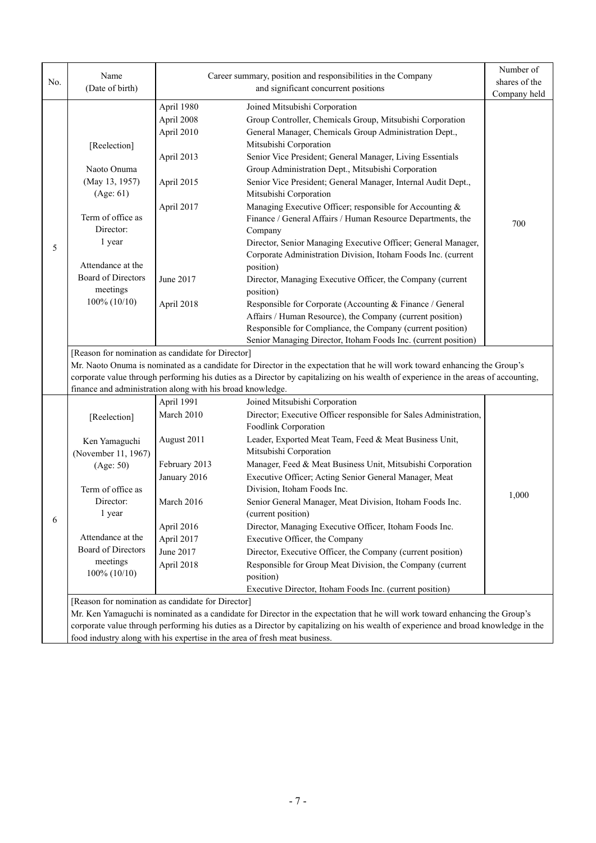|     | Name                                                                                                                               |                                                   | Career summary, position and responsibilities in the Company                                                                        | Number of     |
|-----|------------------------------------------------------------------------------------------------------------------------------------|---------------------------------------------------|-------------------------------------------------------------------------------------------------------------------------------------|---------------|
| No. | (Date of birth)                                                                                                                    |                                                   | and significant concurrent positions                                                                                                | shares of the |
|     |                                                                                                                                    |                                                   |                                                                                                                                     | Company held  |
|     |                                                                                                                                    | April 1980                                        | Joined Mitsubishi Corporation                                                                                                       |               |
|     |                                                                                                                                    | April 2008                                        | Group Controller, Chemicals Group, Mitsubishi Corporation                                                                           |               |
|     |                                                                                                                                    | April 2010                                        | General Manager, Chemicals Group Administration Dept.,                                                                              |               |
|     | [Reelection]                                                                                                                       |                                                   | Mitsubishi Corporation                                                                                                              |               |
|     |                                                                                                                                    | April 2013                                        | Senior Vice President; General Manager, Living Essentials                                                                           |               |
|     | Naoto Onuma                                                                                                                        |                                                   | Group Administration Dept., Mitsubishi Corporation                                                                                  |               |
|     | (May 13, 1957)                                                                                                                     | April 2015                                        | Senior Vice President; General Manager, Internal Audit Dept.,                                                                       |               |
|     | (Age: 61)                                                                                                                          |                                                   | Mitsubishi Corporation                                                                                                              |               |
|     |                                                                                                                                    | April 2017                                        | Managing Executive Officer; responsible for Accounting &                                                                            |               |
|     | Term of office as                                                                                                                  |                                                   | Finance / General Affairs / Human Resource Departments, the                                                                         | 700           |
|     | Director:                                                                                                                          |                                                   | Company                                                                                                                             |               |
| 5   | 1 year                                                                                                                             |                                                   | Director, Senior Managing Executive Officer; General Manager,                                                                       |               |
|     | Attendance at the                                                                                                                  |                                                   | Corporate Administration Division, Itoham Foods Inc. (current                                                                       |               |
|     | <b>Board of Directors</b>                                                                                                          |                                                   | position)                                                                                                                           |               |
|     | meetings                                                                                                                           | June 2017                                         | Director, Managing Executive Officer, the Company (current                                                                          |               |
|     | $100\% (10/10)$                                                                                                                    |                                                   | position)                                                                                                                           |               |
|     |                                                                                                                                    | April 2018                                        | Responsible for Corporate (Accounting & Finance / General<br>Affairs / Human Resource), the Company (current position)              |               |
|     |                                                                                                                                    |                                                   | Responsible for Compliance, the Company (current position)                                                                          |               |
|     |                                                                                                                                    |                                                   | Senior Managing Director, Itoham Foods Inc. (current position)                                                                      |               |
|     |                                                                                                                                    | [Reason for nomination as candidate for Director] |                                                                                                                                     |               |
|     |                                                                                                                                    |                                                   | Mr. Naoto Onuma is nominated as a candidate for Director in the expectation that he will work toward enhancing the Group's          |               |
|     |                                                                                                                                    |                                                   | corporate value through performing his duties as a Director by capitalizing on his wealth of experience in the areas of accounting, |               |
|     | finance and administration along with his broad knowledge.                                                                         |                                                   |                                                                                                                                     |               |
|     |                                                                                                                                    | April 1991                                        | Joined Mitsubishi Corporation                                                                                                       |               |
|     | [Reelection]                                                                                                                       | March 2010                                        | Director; Executive Officer responsible for Sales Administration,                                                                   |               |
|     |                                                                                                                                    |                                                   | Foodlink Corporation                                                                                                                |               |
|     | Ken Yamaguchi                                                                                                                      | August 2011                                       | Leader, Exported Meat Team, Feed & Meat Business Unit,                                                                              |               |
|     | (November 11, 1967)                                                                                                                |                                                   | Mitsubishi Corporation                                                                                                              |               |
|     | (Age: 50)                                                                                                                          | February 2013                                     | Manager, Feed & Meat Business Unit, Mitsubishi Corporation                                                                          |               |
|     |                                                                                                                                    | January 2016                                      | Executive Officer; Acting Senior General Manager, Meat                                                                              |               |
|     | Term of office as                                                                                                                  |                                                   | Division, Itoham Foods Inc.                                                                                                         | 1,000         |
|     | Director:                                                                                                                          | March 2016                                        | Senior General Manager, Meat Division, Itoham Foods Inc.                                                                            |               |
| 6   | 1 year                                                                                                                             |                                                   | (current position)                                                                                                                  |               |
|     |                                                                                                                                    | April 2016                                        | Director, Managing Executive Officer, Itoham Foods Inc.                                                                             |               |
|     | Attendance at the                                                                                                                  | April 2017                                        | Executive Officer, the Company                                                                                                      |               |
|     | Board of Directors                                                                                                                 | June 2017                                         | Director, Executive Officer, the Company (current position)                                                                         |               |
|     | meetings                                                                                                                           | April 2018                                        | Responsible for Group Meat Division, the Company (current                                                                           |               |
|     | $100\% (10/10)$                                                                                                                    |                                                   | position)                                                                                                                           |               |
|     |                                                                                                                                    |                                                   | Executive Director, Itoham Foods Inc. (current position)                                                                            |               |
|     |                                                                                                                                    | [Reason for nomination as candidate for Director] |                                                                                                                                     |               |
|     |                                                                                                                                    |                                                   | Mr. Ken Yamaguchi is nominated as a candidate for Director in the expectation that he will work toward enhancing the Group's        |               |
|     | corporate value through performing his duties as a Director by capitalizing on his wealth of experience and broad knowledge in the |                                                   |                                                                                                                                     |               |
|     | food industry along with his expertise in the area of fresh meat business.                                                         |                                                   |                                                                                                                                     |               |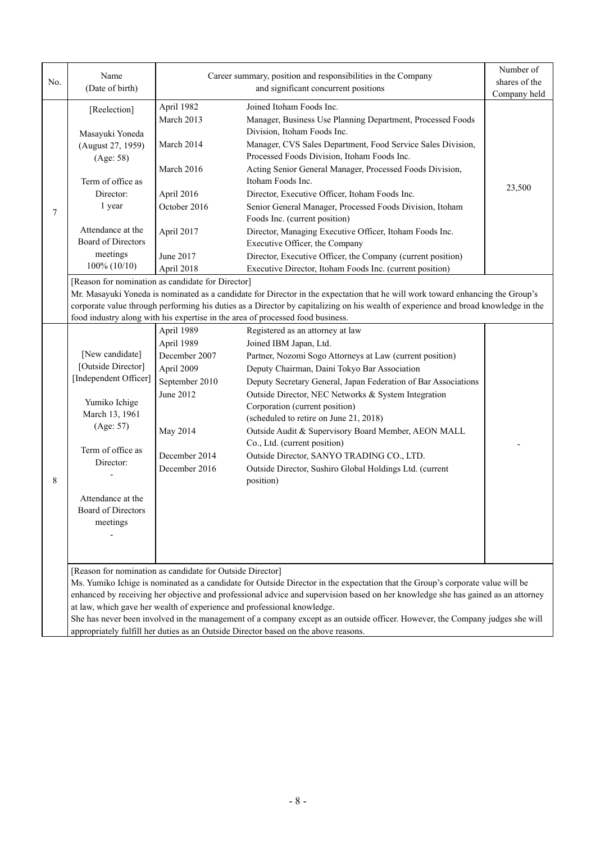| No. | Name<br>(Date of birth)                                   |                | Career summary, position and responsibilities in the Company<br>and significant concurrent positions                               | Number of<br>shares of the<br>Company held |
|-----|-----------------------------------------------------------|----------------|------------------------------------------------------------------------------------------------------------------------------------|--------------------------------------------|
|     |                                                           | April 1982     | Joined Itoham Foods Inc.                                                                                                           |                                            |
|     | [Reelection]                                              | March 2013     | Manager, Business Use Planning Department, Processed Foods                                                                         |                                            |
|     |                                                           |                | Division, Itoham Foods Inc.                                                                                                        |                                            |
|     | Masayuki Yoneda                                           | March 2014     | Manager, CVS Sales Department, Food Service Sales Division,                                                                        |                                            |
|     | (August 27, 1959)                                         |                | Processed Foods Division, Itoham Foods Inc.                                                                                        |                                            |
|     | (Age: 58)                                                 | March 2016     | Acting Senior General Manager, Processed Foods Division,                                                                           |                                            |
|     | Term of office as                                         |                | Itoham Foods Inc.                                                                                                                  |                                            |
|     | Director:                                                 | April 2016     | Director, Executive Officer, Itoham Foods Inc.                                                                                     | 23,500                                     |
|     | 1 year                                                    | October 2016   | Senior General Manager, Processed Foods Division, Itoham                                                                           |                                            |
| 7   |                                                           |                | Foods Inc. (current position)                                                                                                      |                                            |
|     | Attendance at the                                         | April 2017     | Director, Managing Executive Officer, Itoham Foods Inc.                                                                            |                                            |
|     | Board of Directors                                        |                | Executive Officer, the Company                                                                                                     |                                            |
|     | meetings                                                  |                |                                                                                                                                    |                                            |
|     | $100\% (10/10)$                                           | June 2017      | Director, Executive Officer, the Company (current position)                                                                        |                                            |
|     |                                                           | April 2018     | Executive Director, Itoham Foods Inc. (current position)                                                                           |                                            |
|     | [Reason for nomination as candidate for Director]         |                |                                                                                                                                    |                                            |
|     |                                                           |                | Mr. Masayuki Yoneda is nominated as a candidate for Director in the expectation that he will work toward enhancing the Group's     |                                            |
|     |                                                           |                | corporate value through performing his duties as a Director by capitalizing on his wealth of experience and broad knowledge in the |                                            |
|     |                                                           |                | food industry along with his expertise in the area of processed food business.                                                     |                                            |
|     |                                                           | April 1989     | Registered as an attorney at law                                                                                                   |                                            |
|     |                                                           | April 1989     | Joined IBM Japan, Ltd.                                                                                                             |                                            |
|     | [New candidate]<br>[Outside Director]                     | December 2007  | Partner, Nozomi Sogo Attorneys at Law (current position)                                                                           |                                            |
|     |                                                           | April 2009     | Deputy Chairman, Daini Tokyo Bar Association                                                                                       |                                            |
|     | [Independent Officer]                                     | September 2010 | Deputy Secretary General, Japan Federation of Bar Associations                                                                     |                                            |
|     | Yumiko Ichige                                             | June 2012      | Outside Director, NEC Networks & System Integration                                                                                |                                            |
|     | March 13, 1961                                            |                | Corporation (current position)                                                                                                     |                                            |
|     | (Age: 57)                                                 |                | (scheduled to retire on June 21, 2018)                                                                                             |                                            |
|     |                                                           | May 2014       | Outside Audit & Supervisory Board Member, AEON MALL                                                                                |                                            |
|     | Term of office as                                         |                | Co., Ltd. (current position)                                                                                                       |                                            |
|     | Director:                                                 | December 2014  | Outside Director, SANYO TRADING CO., LTD.                                                                                          |                                            |
|     |                                                           | December 2016  | Outside Director, Sushiro Global Holdings Ltd. (current                                                                            |                                            |
| 8   |                                                           |                | position)                                                                                                                          |                                            |
|     | Attendance at the                                         |                |                                                                                                                                    |                                            |
|     | Board of Directors                                        |                |                                                                                                                                    |                                            |
|     | meetings                                                  |                |                                                                                                                                    |                                            |
|     |                                                           |                |                                                                                                                                    |                                            |
|     |                                                           |                |                                                                                                                                    |                                            |
|     |                                                           |                |                                                                                                                                    |                                            |
|     | [Reason for nomination as candidate for Outside Director] |                |                                                                                                                                    |                                            |
|     |                                                           |                | Ms. Yumiko Ichige is nominated as a candidate for Outside Director in the expectation that the Group's corporate value will be     |                                            |
|     |                                                           |                | enhanced by receiving her objective and professional advice and supervision based on her knowledge she has gained as an attorney   |                                            |
|     |                                                           |                | at law, which gave her wealth of experience and professional knowledge.                                                            |                                            |
|     |                                                           |                | She has never been involved in the management of a company except as an outside officer. However, the Company judges she will      |                                            |

appropriately fulfill her duties as an Outside Director based on the above reasons.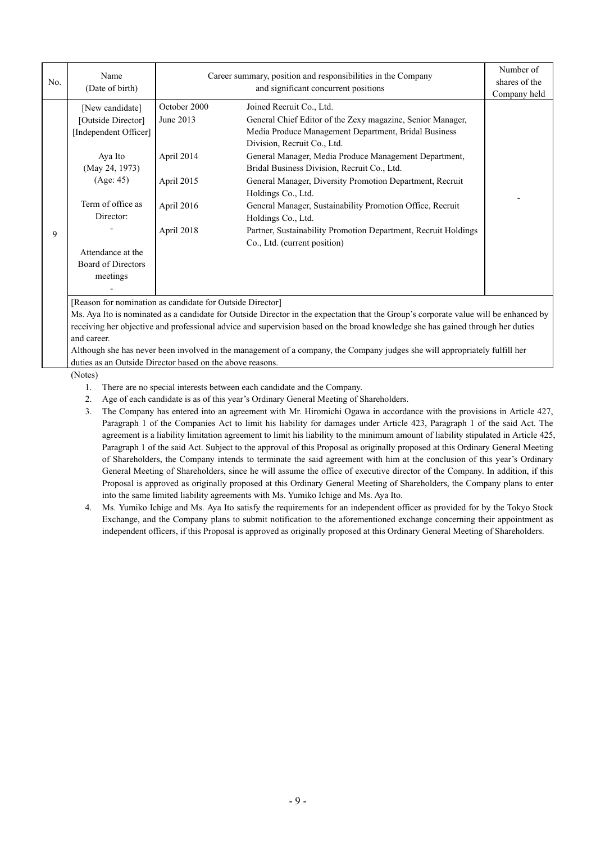| No. | Name<br>(Date of birth)                                        | Career summary, position and responsibilities in the Company<br>and significant concurrent positions |                                                                                                                                                                                        | Number of<br>shares of the<br>Company held |
|-----|----------------------------------------------------------------|------------------------------------------------------------------------------------------------------|----------------------------------------------------------------------------------------------------------------------------------------------------------------------------------------|--------------------------------------------|
|     | [New candidate]<br>[Outside Director]<br>[Independent Officer] | October 2000<br>June 2013                                                                            | Joined Recruit Co., Ltd.<br>General Chief Editor of the Zexy magazine, Senior Manager,<br>Media Produce Management Department, Bridal Business<br>Division, Recruit Co., Ltd.          |                                            |
|     | Aya Ito<br>(May 24, 1973)<br>(Age: 45)                         | April 2014<br>April 2015                                                                             | General Manager, Media Produce Management Department,<br>Bridal Business Division, Recruit Co., Ltd.<br>General Manager, Diversity Promotion Department, Recruit<br>Holdings Co., Ltd. |                                            |
| 9   | Term of office as<br>Director:                                 | April 2016<br>April 2018                                                                             | General Manager, Sustainability Promotion Office, Recruit<br>Holdings Co., Ltd.<br>Partner, Sustainability Promotion Department, Recruit Holdings                                      |                                            |
|     | Attendance at the<br>Board of Directors<br>meetings            |                                                                                                      | Co., Ltd. (current position)                                                                                                                                                           |                                            |

[Reason for nomination as candidate for Outside Director]

Ms. Aya Ito is nominated as a candidate for Outside Director in the expectation that the Group's corporate value will be enhanced by receiving her objective and professional advice and supervision based on the broad knowledge she has gained through her duties and career.

Although she has never been involved in the management of a company, the Company judges she will appropriately fulfill her duties as an Outside Director based on the above reasons.

(Notes)

1. There are no special interests between each candidate and the Company.

2. Age of each candidate is as of this year's Ordinary General Meeting of Shareholders.

3. The Company has entered into an agreement with Mr. Hiromichi Ogawa in accordance with the provisions in Article 427, Paragraph 1 of the Companies Act to limit his liability for damages under Article 423, Paragraph 1 of the said Act. The agreement is a liability limitation agreement to limit his liability to the minimum amount of liability stipulated in Article 425, Paragraph 1 of the said Act. Subject to the approval of this Proposal as originally proposed at this Ordinary General Meeting of Shareholders, the Company intends to terminate the said agreement with him at the conclusion of this year's Ordinary General Meeting of Shareholders, since he will assume the office of executive director of the Company. In addition, if this Proposal is approved as originally proposed at this Ordinary General Meeting of Shareholders, the Company plans to enter into the same limited liability agreements with Ms. Yumiko Ichige and Ms. Aya Ito.

4. Ms. Yumiko Ichige and Ms. Aya Ito satisfy the requirements for an independent officer as provided for by the Tokyo Stock Exchange, and the Company plans to submit notification to the aforementioned exchange concerning their appointment as independent officers, if this Proposal is approved as originally proposed at this Ordinary General Meeting of Shareholders.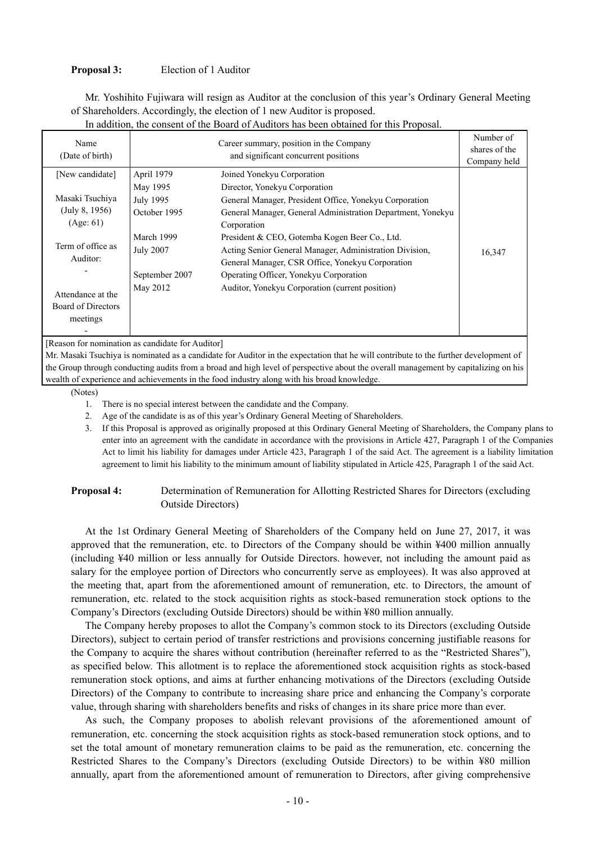### **Proposal 3:** Election of 1 Auditor

Mr. Yoshihito Fujiwara will resign as Auditor at the conclusion of this year's Ordinary General Meeting of Shareholders. Accordingly, the election of 1 new Auditor is proposed.

| Name<br>(Date of birth) |                  | Career summary, position in the Company<br>and significant concurrent positions | Number of<br>shares of the<br>Company held |
|-------------------------|------------------|---------------------------------------------------------------------------------|--------------------------------------------|
| [New candidate]         | April 1979       | Joined Yonekyu Corporation                                                      |                                            |
|                         | May 1995         | Director, Yonekyu Corporation                                                   |                                            |
| Masaki Tsuchiya         | July 1995        | General Manager, President Office, Yonekyu Corporation                          |                                            |
| (July 8, 1956)          | October 1995     | General Manager, General Administration Department, Yonekyu                     |                                            |
| (Age: 61)               |                  | Corporation                                                                     |                                            |
|                         | March 1999       | President & CEO, Gotemba Kogen Beer Co., Ltd.                                   |                                            |
| Term of office as       | <b>July 2007</b> | Acting Senior General Manager, Administration Division,                         | 16,347                                     |
| Auditor:                |                  | General Manager, CSR Office, Yonekyu Corporation                                |                                            |
|                         | September 2007   | Operating Officer, Yonekyu Corporation                                          |                                            |
| Attendance at the       | May 2012         | Auditor, Yonekyu Corporation (current position)                                 |                                            |
| Board of Directors      |                  |                                                                                 |                                            |
| meetings                |                  |                                                                                 |                                            |
|                         |                  |                                                                                 |                                            |

In addition, the consent of the Board of Auditors has been obtained for this Proposal.

[Reason for nomination as candidate for Auditor]

Mr. Masaki Tsuchiya is nominated as a candidate for Auditor in the expectation that he will contribute to the further development of the Group through conducting audits from a broad and high level of perspective about the overall management by capitalizing on his wealth of experience and achievements in the food industry along with his broad knowledge.

(Notes)

- 1. There is no special interest between the candidate and the Company.
- 2. Age of the candidate is as of this year's Ordinary General Meeting of Shareholders.
- 3. If this Proposal is approved as originally proposed at this Ordinary General Meeting of Shareholders, the Company plans to enter into an agreement with the candidate in accordance with the provisions in Article 427, Paragraph 1 of the Companies Act to limit his liability for damages under Article 423, Paragraph 1 of the said Act. The agreement is a liability limitation agreement to limit his liability to the minimum amount of liability stipulated in Article 425, Paragraph 1 of the said Act.

## **Proposal 4:** Determination of Remuneration for Allotting Restricted Shares for Directors (excluding Outside Directors)

At the 1st Ordinary General Meeting of Shareholders of the Company held on June 27, 2017, it was approved that the remuneration, etc. to Directors of the Company should be within ¥400 million annually (including ¥40 million or less annually for Outside Directors. however, not including the amount paid as salary for the employee portion of Directors who concurrently serve as employees). It was also approved at the meeting that, apart from the aforementioned amount of remuneration, etc. to Directors, the amount of remuneration, etc. related to the stock acquisition rights as stock-based remuneration stock options to the Company's Directors (excluding Outside Directors) should be within ¥80 million annually.

The Company hereby proposes to allot the Company's common stock to its Directors (excluding Outside Directors), subject to certain period of transfer restrictions and provisions concerning justifiable reasons for the Company to acquire the shares without contribution (hereinafter referred to as the "Restricted Shares"), as specified below. This allotment is to replace the aforementioned stock acquisition rights as stock-based remuneration stock options, and aims at further enhancing motivations of the Directors (excluding Outside Directors) of the Company to contribute to increasing share price and enhancing the Company's corporate value, through sharing with shareholders benefits and risks of changes in its share price more than ever.

As such, the Company proposes to abolish relevant provisions of the aforementioned amount of remuneration, etc. concerning the stock acquisition rights as stock-based remuneration stock options, and to set the total amount of monetary remuneration claims to be paid as the remuneration, etc. concerning the Restricted Shares to the Company's Directors (excluding Outside Directors) to be within ¥80 million annually, apart from the aforementioned amount of remuneration to Directors, after giving comprehensive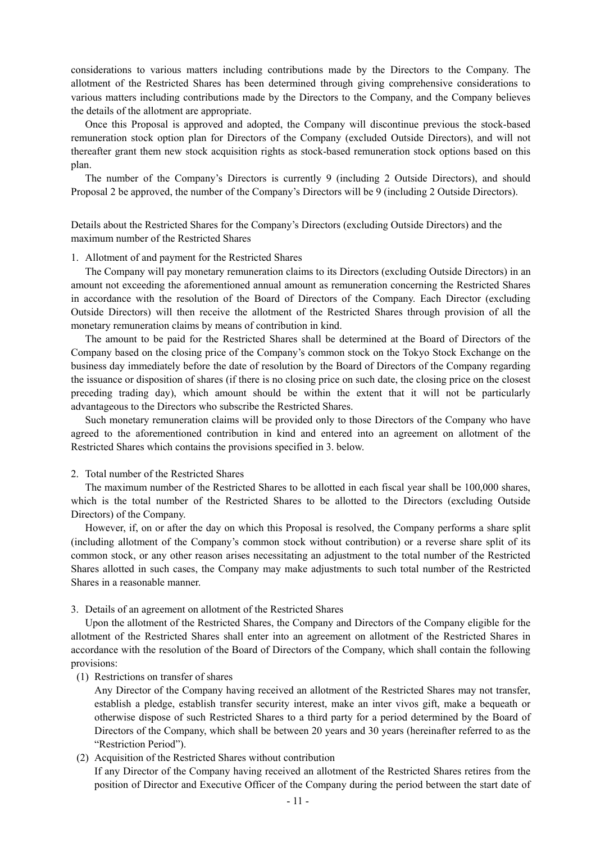considerations to various matters including contributions made by the Directors to the Company. The allotment of the Restricted Shares has been determined through giving comprehensive considerations to various matters including contributions made by the Directors to the Company, and the Company believes the details of the allotment are appropriate.

Once this Proposal is approved and adopted, the Company will discontinue previous the stock-based remuneration stock option plan for Directors of the Company (excluded Outside Directors), and will not thereafter grant them new stock acquisition rights as stock-based remuneration stock options based on this plan.

The number of the Company's Directors is currently 9 (including 2 Outside Directors), and should Proposal 2 be approved, the number of the Company's Directors will be 9 (including 2 Outside Directors).

Details about the Restricted Shares for the Company's Directors (excluding Outside Directors) and the maximum number of the Restricted Shares

### 1. Allotment of and payment for the Restricted Shares

The Company will pay monetary remuneration claims to its Directors (excluding Outside Directors) in an amount not exceeding the aforementioned annual amount as remuneration concerning the Restricted Shares in accordance with the resolution of the Board of Directors of the Company. Each Director (excluding Outside Directors) will then receive the allotment of the Restricted Shares through provision of all the monetary remuneration claims by means of contribution in kind.

The amount to be paid for the Restricted Shares shall be determined at the Board of Directors of the Company based on the closing price of the Company's common stock on the Tokyo Stock Exchange on the business day immediately before the date of resolution by the Board of Directors of the Company regarding the issuance or disposition of shares (if there is no closing price on such date, the closing price on the closest preceding trading day), which amount should be within the extent that it will not be particularly advantageous to the Directors who subscribe the Restricted Shares.

Such monetary remuneration claims will be provided only to those Directors of the Company who have agreed to the aforementioned contribution in kind and entered into an agreement on allotment of the Restricted Shares which contains the provisions specified in 3. below.

### 2. Total number of the Restricted Shares

The maximum number of the Restricted Shares to be allotted in each fiscal year shall be 100,000 shares, which is the total number of the Restricted Shares to be allotted to the Directors (excluding Outside Directors) of the Company.

However, if, on or after the day on which this Proposal is resolved, the Company performs a share split (including allotment of the Company's common stock without contribution) or a reverse share split of its common stock, or any other reason arises necessitating an adjustment to the total number of the Restricted Shares allotted in such cases, the Company may make adjustments to such total number of the Restricted Shares in a reasonable manner.

3. Details of an agreement on allotment of the Restricted Shares

Upon the allotment of the Restricted Shares, the Company and Directors of the Company eligible for the allotment of the Restricted Shares shall enter into an agreement on allotment of the Restricted Shares in accordance with the resolution of the Board of Directors of the Company, which shall contain the following provisions:

(1) Restrictions on transfer of shares

Any Director of the Company having received an allotment of the Restricted Shares may not transfer, establish a pledge, establish transfer security interest, make an inter vivos gift, make a bequeath or otherwise dispose of such Restricted Shares to a third party for a period determined by the Board of Directors of the Company, which shall be between 20 years and 30 years (hereinafter referred to as the "Restriction Period").

### (2) Acquisition of the Restricted Shares without contribution

If any Director of the Company having received an allotment of the Restricted Shares retires from the position of Director and Executive Officer of the Company during the period between the start date of